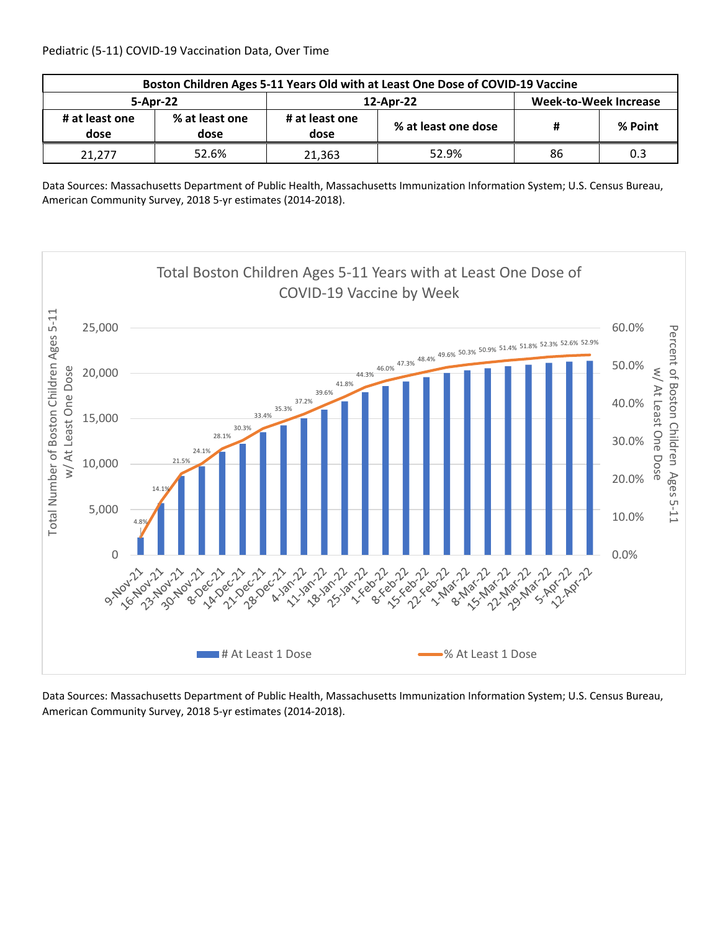| Boston Children Ages 5-11 Years Old with at Least One Dose of COVID-19 Vaccine |                        |                        |                     |                              |         |  |  |
|--------------------------------------------------------------------------------|------------------------|------------------------|---------------------|------------------------------|---------|--|--|
| 5-Apr-22                                                                       |                        |                        | 12-Apr-22           | <b>Week-to-Week Increase</b> |         |  |  |
| # at least one<br>dose                                                         | % at least one<br>dose | # at least one<br>dose | % at least one dose | #                            | % Point |  |  |
| 21.277                                                                         | 52.6%                  | 21.363                 | 52.9%               | 86                           | 0.3     |  |  |

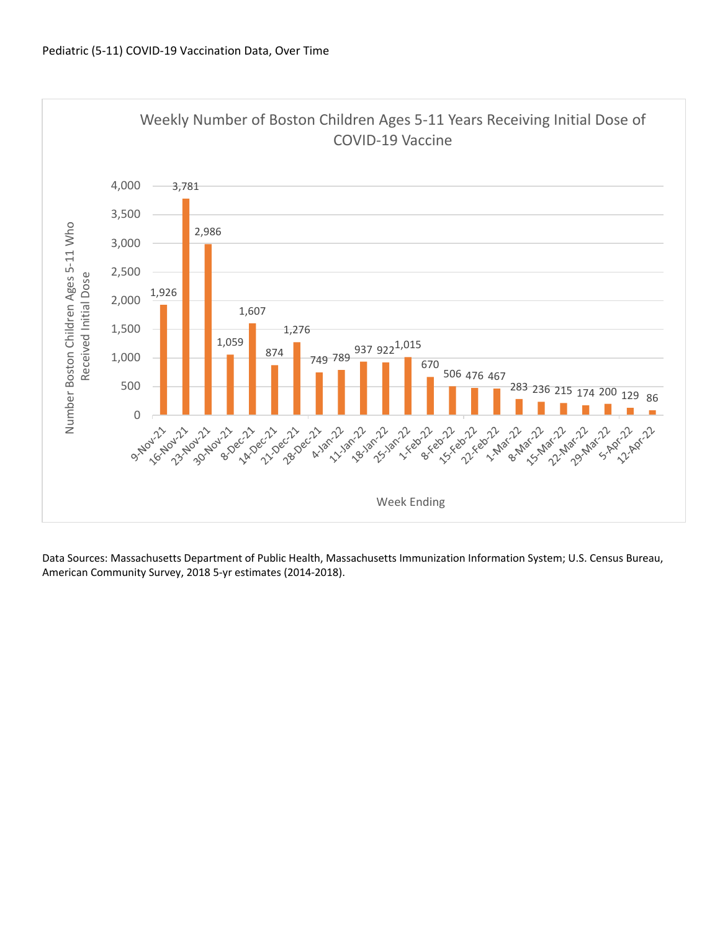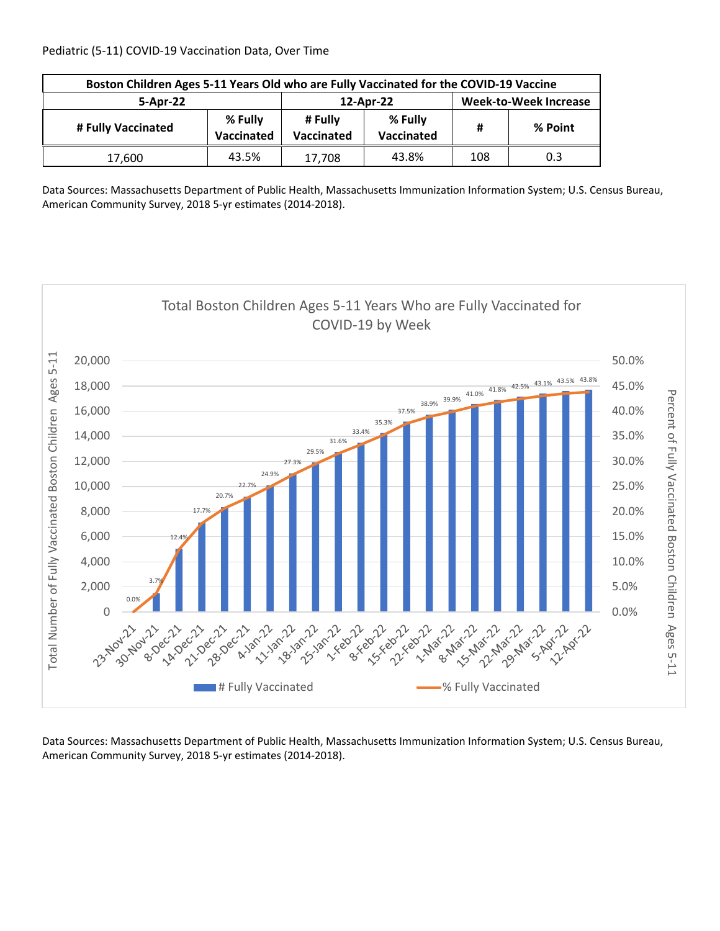| Boston Children Ages 5-11 Years Old who are Fully Vaccinated for the COVID-19 Vaccine |       |                       |                              |     |         |  |  |
|---------------------------------------------------------------------------------------|-------|-----------------------|------------------------------|-----|---------|--|--|
| 5-Apr-22                                                                              |       | 12-Apr-22             | <b>Week-to-Week Increase</b> |     |         |  |  |
| % Fully<br># Fully Vaccinated<br>Vaccinated                                           |       | # Fully<br>Vaccinated | % Fully<br>Vaccinated        | #   | % Point |  |  |
| 17,600                                                                                | 43.5% | 17,708                | 43.8%                        | 108 | 0.3     |  |  |

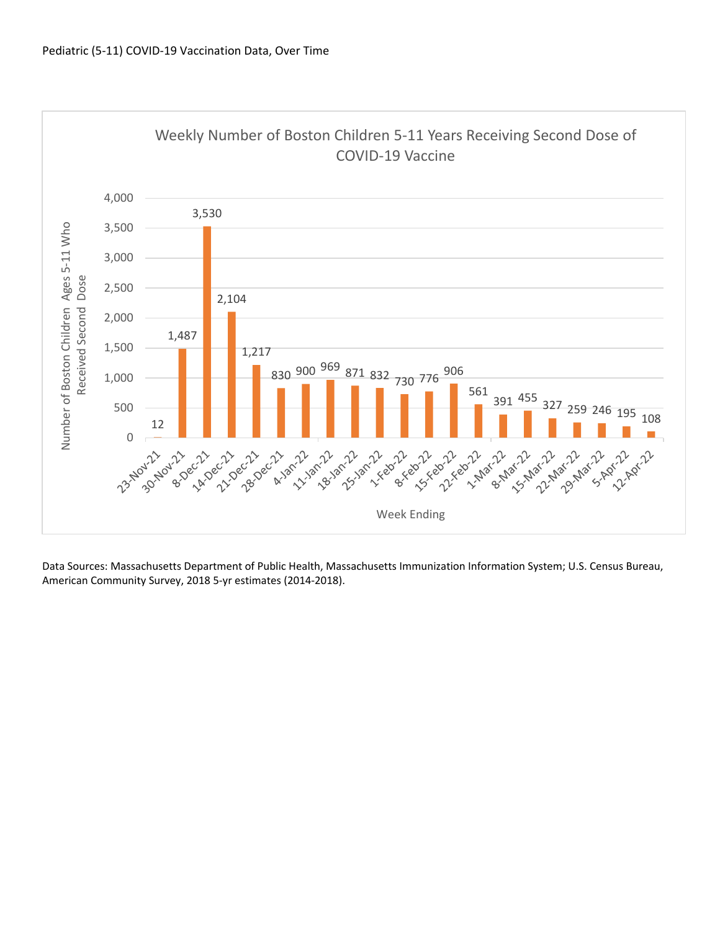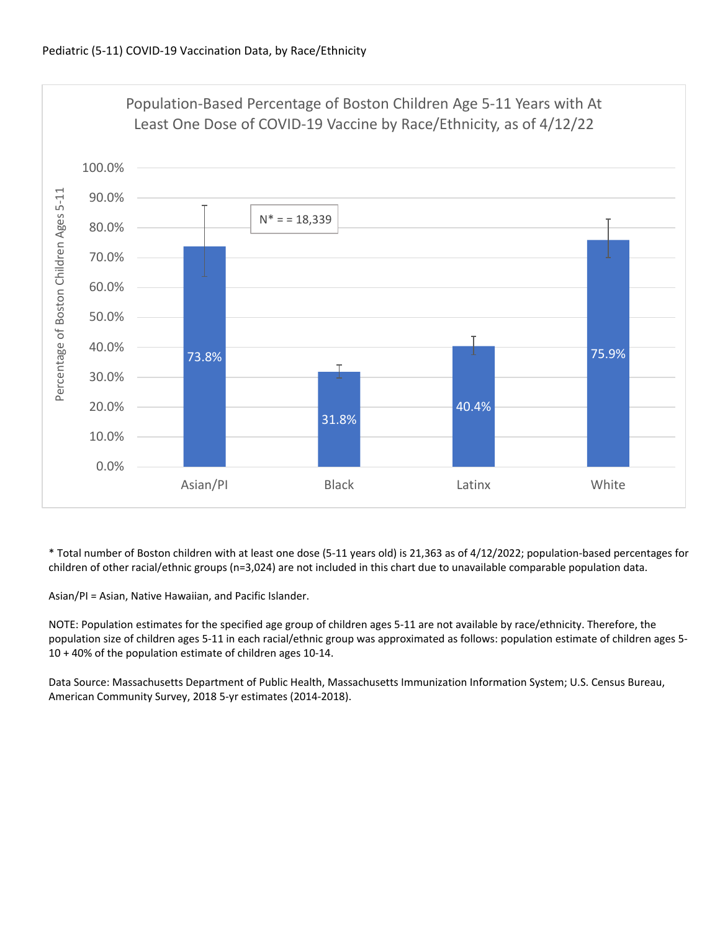

\* Total number of Boston children with at least one dose (5‐11 years old) is 21,363 as of 4/12/2022; population‐based percentages for children of other racial/ethnic groups (n=3,024) are not included in this chart due to unavailable comparable population data.

Asian/PI = Asian, Native Hawaiian, and Pacific Islander.

NOTE: Population estimates for the specified age group of children ages 5‐11 are not available by race/ethnicity. Therefore, the population size of children ages 5‐11 in each racial/ethnic group was approximated as follows: population estimate of children ages 5‐ 10 + 40% of the population estimate of children ages 10‐14.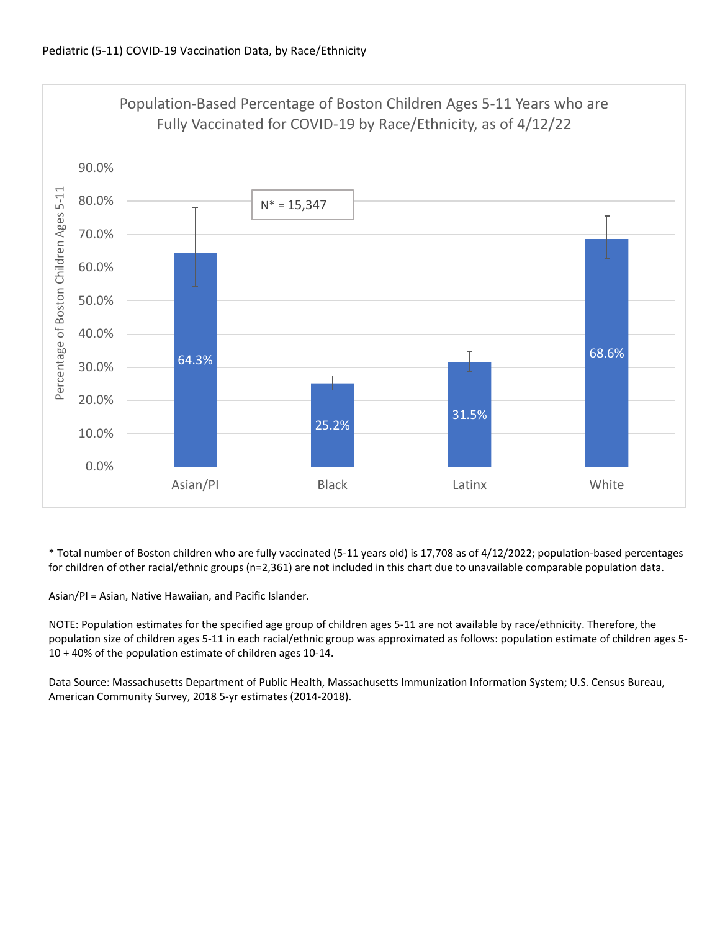

\* Total number of Boston children who are fully vaccinated (5‐11 years old) is 17,708 as of 4/12/2022; population‐based percentages for children of other racial/ethnic groups (n=2,361) are not included in this chart due to unavailable comparable population data.

Asian/PI = Asian, Native Hawaiian, and Pacific Islander.

NOTE: Population estimates for the specified age group of children ages 5‐11 are not available by race/ethnicity. Therefore, the population size of children ages 5‐11 in each racial/ethnic group was approximated as follows: population estimate of children ages 5‐ 10 + 40% of the population estimate of children ages 10‐14.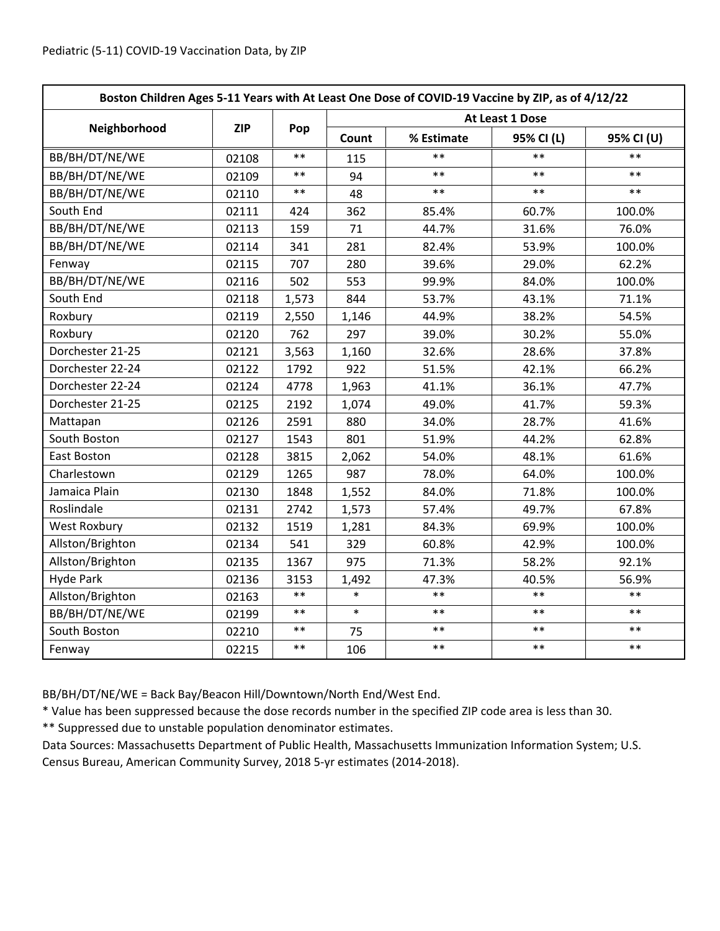| Boston Children Ages 5-11 Years with At Least One Dose of COVID-19 Vaccine by ZIP, as of 4/12/22 |            |            |                 |            |            |            |  |
|--------------------------------------------------------------------------------------------------|------------|------------|-----------------|------------|------------|------------|--|
|                                                                                                  | <b>ZIP</b> | Pop        | At Least 1 Dose |            |            |            |  |
| Neighborhood                                                                                     |            |            | Count           | % Estimate | 95% CI (L) | 95% CI (U) |  |
| BB/BH/DT/NE/WE                                                                                   | 02108      | $**$       | 115             | $**$       | $**$       | $**$       |  |
| BB/BH/DT/NE/WE                                                                                   | 02109      | $***$      | 94              | $***$      | $***$      | $***$      |  |
| BB/BH/DT/NE/WE                                                                                   | 02110      | $***$      | 48              | $**$       | $**$       | $**$       |  |
| South End                                                                                        | 02111      | 424        | 362             | 85.4%      | 60.7%      | 100.0%     |  |
| BB/BH/DT/NE/WE                                                                                   | 02113      | 159        | 71              | 44.7%      | 31.6%      | 76.0%      |  |
| BB/BH/DT/NE/WE                                                                                   | 02114      | 341        | 281             | 82.4%      | 53.9%      | 100.0%     |  |
| Fenway                                                                                           | 02115      | 707        | 280             | 39.6%      | 29.0%      | 62.2%      |  |
| BB/BH/DT/NE/WE                                                                                   | 02116      | 502        | 553             | 99.9%      | 84.0%      | 100.0%     |  |
| South End                                                                                        | 02118      | 1,573      | 844             | 53.7%      | 43.1%      | 71.1%      |  |
| Roxbury                                                                                          | 02119      | 2,550      | 1,146           | 44.9%      | 38.2%      | 54.5%      |  |
| Roxbury                                                                                          | 02120      | 762        | 297             | 39.0%      | 30.2%      | 55.0%      |  |
| Dorchester 21-25                                                                                 | 02121      | 3,563      | 1,160           | 32.6%      | 28.6%      | 37.8%      |  |
| Dorchester 22-24                                                                                 | 02122      | 1792       | 922             | 51.5%      | 42.1%      | 66.2%      |  |
| Dorchester 22-24                                                                                 | 02124      | 4778       | 1,963           | 41.1%      | 36.1%      | 47.7%      |  |
| Dorchester 21-25                                                                                 | 02125      | 2192       | 1,074           | 49.0%      | 41.7%      | 59.3%      |  |
| Mattapan                                                                                         | 02126      | 2591       | 880             | 34.0%      | 28.7%      | 41.6%      |  |
| South Boston                                                                                     | 02127      | 1543       | 801             | 51.9%      | 44.2%      | 62.8%      |  |
| East Boston                                                                                      | 02128      | 3815       | 2,062           | 54.0%      | 48.1%      | 61.6%      |  |
| Charlestown                                                                                      | 02129      | 1265       | 987             | 78.0%      | 64.0%      | 100.0%     |  |
| Jamaica Plain                                                                                    | 02130      | 1848       | 1,552           | 84.0%      | 71.8%      | 100.0%     |  |
| Roslindale                                                                                       | 02131      | 2742       | 1,573           | 57.4%      | 49.7%      | 67.8%      |  |
| <b>West Roxbury</b>                                                                              | 02132      | 1519       | 1,281           | 84.3%      | 69.9%      | 100.0%     |  |
| Allston/Brighton                                                                                 | 02134      | 541        | 329             | 60.8%      | 42.9%      | 100.0%     |  |
| Allston/Brighton                                                                                 | 02135      | 1367       | 975             | 71.3%      | 58.2%      | 92.1%      |  |
| <b>Hyde Park</b>                                                                                 | 02136      | 3153       | 1,492           | 47.3%      | 40.5%      | 56.9%      |  |
| Allston/Brighton                                                                                 | 02163      | $***$      | $\ast$          | $**$       | $***$      | $***$      |  |
| BB/BH/DT/NE/WE                                                                                   | 02199      | $***$      | $\ast$          | $**$       | $***$      | $***$      |  |
| South Boston                                                                                     | 02210      | $\ast\ast$ | 75              | $***$      | $***$      | $***$      |  |
| Fenway                                                                                           | 02215      | $***$      | 106             | $***$      | $***$      | $***$      |  |

BB/BH/DT/NE/WE = Back Bay/Beacon Hill/Downtown/North End/West End.

\* Value has been suppressed because the dose records number in the specified ZIP code area is less than 30.

\*\* Suppressed due to unstable population denominator estimates.